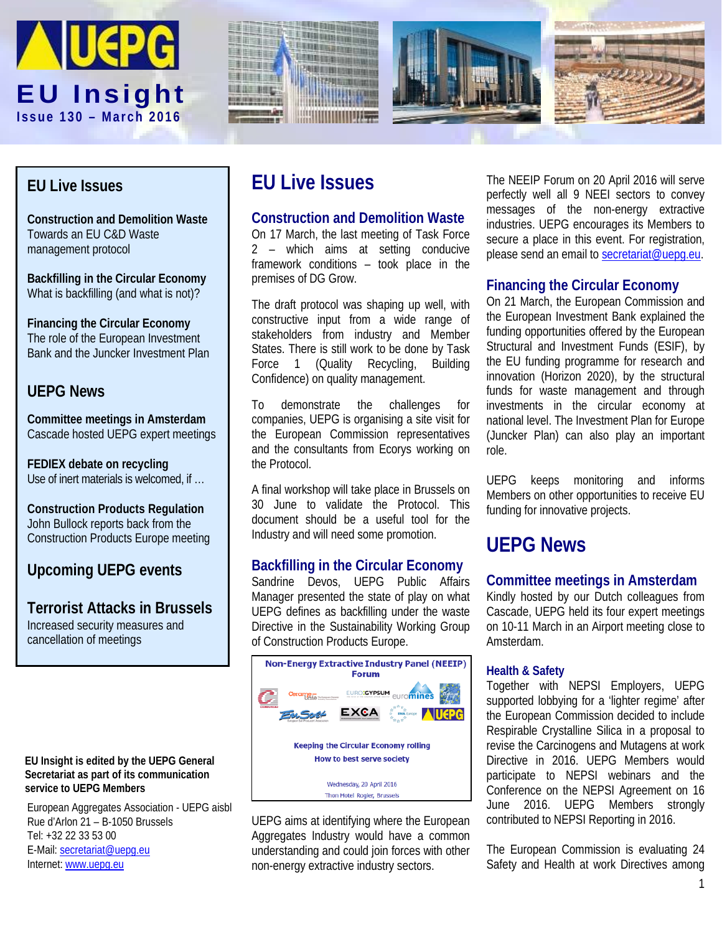







## **EU Live Issues**

**Construction and Demolition Waste** Towards an EU C&D Waste management protocol

**Backfilling in the Circular Economy** What is backfilling (and what is not)?

**Financing the Circular Economy** The role of the European Investment Bank and the Juncker Investment Plan

## **UEPG News**

**Committee meetings in Amsterdam** Cascade hosted UEPG expert meetings

**FEDIEX debate on recycling** Use of inert materials is welcomed, if …

**Construction Products Regulation** John Bullock reports back from the Construction Products Europe meeting

## **Upcoming UEPG events**

**Terrorist Attacks in Brussels** Increased security measures and cancellation of meetings

#### **EU Insight is edited by the UEPG General Secretariat as part of its communication service to UEPG Members**

European Aggregates Association - UEPG aisbl Rue d'Arlon 21 – B-1050 Brussels Tel: +32 22 33 53 00 E-Mail: [secretariat@uepg.eu](mailto:secretariat@uepg.eu) Internet[: www.uepg.eu](http://www.uepg.eu/)

# **EU Live Issues**

## **Construction and Demolition Waste**

On 17 March, the last meeting of Task Force 2 – which aims at setting conducive framework conditions – took place in the premises of DG Grow.

The draft protocol was shaping up well, with constructive input from a wide range of stakeholders from industry and Member States. There is still work to be done by Task Force 1 (Quality Recycling, Building Confidence) on quality management.

To demonstrate the challenges for companies, UEPG is organising a site visit for the European Commission representatives and the consultants from Ecorys working on the Protocol.

A final workshop will take place in Brussels on 30 June to validate the Protocol. This document should be a useful tool for the Industry and will need some promotion.

### **Backfilling in the Circular Economy**

Sandrine Devos, UEPG Public Affairs Manager presented the state of play on what UEPG defines as backfilling under the waste Directive in the Sustainability Working Group of Construction Products Europe.



UEPG aims at identifying where the European Aggregates Industry would have a common understanding and could join forces with other non-energy extractive industry sectors.

The NEEIP Forum on 20 April 2016 will serve perfectly well all 9 NEEI sectors to convey messages of the non-energy extractive industries. UEPG encourages its Members to secure a place in this event. For registration, please send an email t[o secretariat@uepg.eu.](mailto:secretariat@uepg.eu)

## **Financing the Circular Economy**

On 21 March, the European Commission and the European Investment Bank explained the funding opportunities offered by the European Structural and Investment Funds (ESIF), by the EU funding programme for research and innovation (Horizon 2020), by the structural funds for waste management and through investments in the circular economy at national level. The Investment Plan for Europe (Juncker Plan) can also play an important role.

UEPG keeps monitoring and informs Members on other opportunities to receive EU funding for innovative projects.

# **UEPG News**

### **Committee meetings in Amsterdam**

Kindly hosted by our Dutch colleagues from Cascade, UEPG held its four expert meetings on 10-11 March in an Airport meeting close to Amsterdam.

#### **Health & Safety**

Together with NEPSI Employers, UEPG supported lobbying for a 'lighter regime' after the European Commission decided to include Respirable Crystalline Silica in a proposal to revise the Carcinogens and Mutagens at work Directive in 2016. UEPG Members would participate to NEPSI webinars and the Conference on the NEPSI Agreement on 16 June 2016. UEPG Members strongly contributed to NEPSI Reporting in 2016.

The European Commission is evaluating 24 Safety and Health at work Directives among